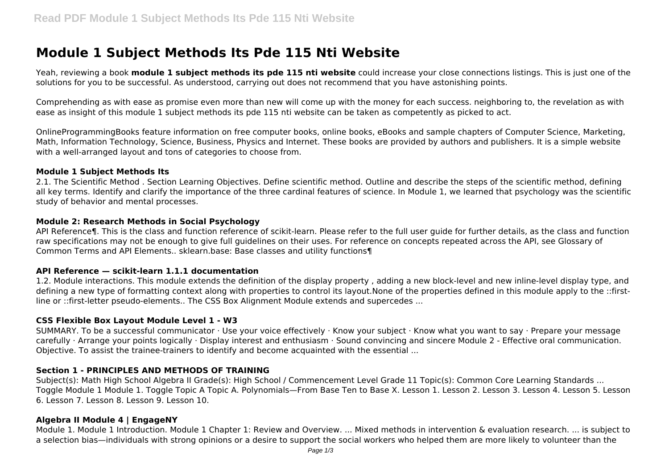# **Module 1 Subject Methods Its Pde 115 Nti Website**

Yeah, reviewing a book **module 1 subject methods its pde 115 nti website** could increase your close connections listings. This is just one of the solutions for you to be successful. As understood, carrying out does not recommend that you have astonishing points.

Comprehending as with ease as promise even more than new will come up with the money for each success. neighboring to, the revelation as with ease as insight of this module 1 subject methods its pde 115 nti website can be taken as competently as picked to act.

OnlineProgrammingBooks feature information on free computer books, online books, eBooks and sample chapters of Computer Science, Marketing, Math, Information Technology, Science, Business, Physics and Internet. These books are provided by authors and publishers. It is a simple website with a well-arranged layout and tons of categories to choose from.

#### **Module 1 Subject Methods Its**

2.1. The Scientific Method . Section Learning Objectives. Define scientific method. Outline and describe the steps of the scientific method, defining all key terms. Identify and clarify the importance of the three cardinal features of science. In Module 1, we learned that psychology was the scientific study of behavior and mental processes.

## **Module 2: Research Methods in Social Psychology**

API Reference¶. This is the class and function reference of scikit-learn. Please refer to the full user guide for further details, as the class and function raw specifications may not be enough to give full guidelines on their uses. For reference on concepts repeated across the API, see Glossary of Common Terms and API Elements.. sklearn.base: Base classes and utility functions¶

## **API Reference — scikit-learn 1.1.1 documentation**

1.2. Module interactions. This module extends the definition of the display property , adding a new block-level and new inline-level display type, and defining a new type of formatting context along with properties to control its layout.None of the properties defined in this module apply to the ::firstline or ::first-letter pseudo-elements.. The CSS Box Alignment Module extends and supercedes ...

## **CSS Flexible Box Layout Module Level 1 - W3**

SUMMARY. To be a successful communicator · Use your voice effectively · Know your subject · Know what you want to say · Prepare your message carefully · Arrange your points logically · Display interest and enthusiasm · Sound convincing and sincere Module 2 - Effective oral communication. Objective. To assist the trainee-trainers to identify and become acquainted with the essential ...

# **Section 1 - PRINCIPLES AND METHODS OF TRAINING**

Subject(s): Math High School Algebra II Grade(s): High School / Commencement Level Grade 11 Topic(s): Common Core Learning Standards ... Toggle Module 1 Module 1. Toggle Topic A Topic A. Polynomials—From Base Ten to Base X. Lesson 1. Lesson 2. Lesson 3. Lesson 4. Lesson 5. Lesson 6. Lesson 7. Lesson 8. Lesson 9. Lesson 10.

## **Algebra II Module 4 | EngageNY**

Module 1. Module 1 Introduction. Module 1 Chapter 1: Review and Overview. ... Mixed methods in intervention & evaluation research. ... is subject to a selection bias—individuals with strong opinions or a desire to support the social workers who helped them are more likely to volunteer than the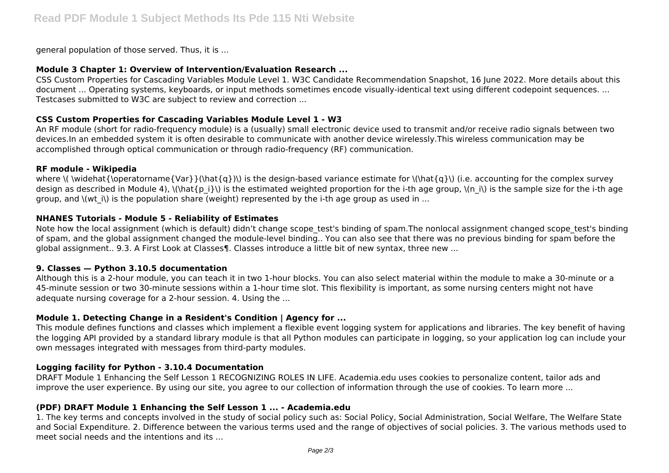general population of those served. Thus, it is ...

## **Module 3 Chapter 1: Overview of Intervention/Evaluation Research ...**

CSS Custom Properties for Cascading Variables Module Level 1. W3C Candidate Recommendation Snapshot, 16 June 2022. More details about this document ... Operating systems, keyboards, or input methods sometimes encode visually-identical text using different codepoint sequences. ... Testcases submitted to W3C are subject to review and correction ...

# **CSS Custom Properties for Cascading Variables Module Level 1 - W3**

An RF module (short for radio-frequency module) is a (usually) small electronic device used to transmit and/or receive radio signals between two devices.In an embedded system it is often desirable to communicate with another device wirelessly.This wireless communication may be accomplished through optical communication or through radio-frequency (RF) communication.

## **RF module - Wikipedia**

where  $\langle \partial f \rangle$  is the design-based variance estimate for  $\langle \partial f \rangle$  (i.e. accounting for the complex survey design as described in Module 4),  $\langle \hat{p}_i \rangle$  is the estimated weighted proportion for the i-th age group,  $\langle n_i \rangle$  is the sample size for the i-th age group, and  $\langle$  (wt i $\rangle$ ) is the population share (weight) represented by the i-th age group as used in ...

# **NHANES Tutorials - Module 5 - Reliability of Estimates**

Note how the local assignment (which is default) didn't change scope test's binding of spam.The nonlocal assignment changed scope test's binding of spam, and the global assignment changed the module-level binding.. You can also see that there was no previous binding for spam before the global assignment.. 9.3. A First Look at Classes¶. Classes introduce a little bit of new syntax, three new ...

## **9. Classes — Python 3.10.5 documentation**

Although this is a 2-hour module, you can teach it in two 1-hour blocks. You can also select material within the module to make a 30-minute or a 45-minute session or two 30-minute sessions within a 1-hour time slot. This flexibility is important, as some nursing centers might not have adequate nursing coverage for a 2-hour session. 4. Using the ...

# **Module 1. Detecting Change in a Resident's Condition | Agency for ...**

This module defines functions and classes which implement a flexible event logging system for applications and libraries. The key benefit of having the logging API provided by a standard library module is that all Python modules can participate in logging, so your application log can include your own messages integrated with messages from third-party modules.

# **Logging facility for Python - 3.10.4 Documentation**

DRAFT Module 1 Enhancing the Self Lesson 1 RECOGNIZING ROLES IN LIFE. Academia.edu uses cookies to personalize content, tailor ads and improve the user experience. By using our site, you agree to our collection of information through the use of cookies. To learn more ...

# **(PDF) DRAFT Module 1 Enhancing the Self Lesson 1 ... - Academia.edu**

1. The key terms and concepts involved in the study of social policy such as: Social Policy, Social Administration, Social Welfare, The Welfare State and Social Expenditure. 2. Difference between the various terms used and the range of objectives of social policies. 3. The various methods used to meet social needs and the intentions and its ...